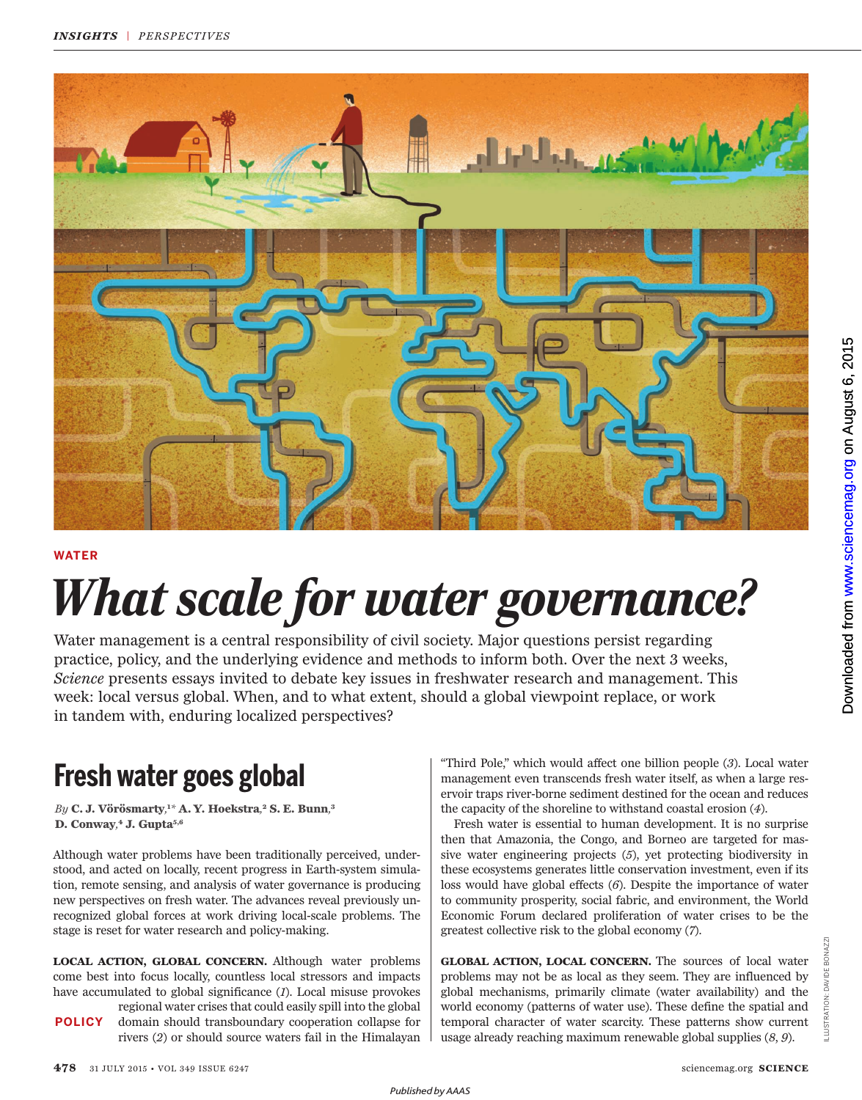

#### **WATER**

# *What scale for water governance?*

Water management is a central responsibility of civil society. Major questions persist regarding practice, policy, and the underlying evidence and methods to inform both. Over the next 3 weeks, *Science* presents essays invited to debate key issues in freshwater research and management. This week: local versus global. When, and to what extent, should a global viewpoint replace, or work in tandem with, enduring localized perspectives?

*By* **C. J. Vörösmarty***,* **<sup>1</sup>***\** **A. Y. Hoekstra***,* **<sup>2</sup> S. E. Bunn***,* **3 D. Conway***,* **<sup>4</sup> J. Gupta 5, 6**

 Although water problems have been traditionally perceived, understood, and acted on locally, recent progress in Earth-system simulation, remote sensing, and analysis of water governance is producing new perspectives on fresh water. The advances reveal previously unrecognized global forces at work driving local-scale problems. The stage is reset for water research and policy-making.

**LOCAL ACTION, GLOBAL CONCERN.** Although water problems come best into focus locally, countless local stressors and impacts have accumulated to global significance (*1*). Local misuse provokes

regional water crises that could easily spill into the global domain should transboundary cooperation collapse for rivers (*2*) or should source waters fail in the Himalayan **POLICY**

Fresh water goes global  $\overline{\phantom{a}}$  Third Pole," which would affect one billion people (3). Local water resmanagement even transcends fresh water itself, as when a large reservoir traps river-borne sediment destined for the ocean and reduces the capacity of the shoreline to withstand coastal erosion (*4*).

> Fresh water is essential to human development. It is no surprise then that Amazonia, the Congo, and Borneo are targeted for massive water engineering projects (*5*), yet protecting biodiversity in these ecosystems generates little conservation investment, even if its loss would have global effects (*6*). Despite the importance of water to community prosperity, social fabric, and environment, the World Economic Forum declared proliferation of water crises to be the greatest collective risk to the global economy (*7*).

> **GLOBAL ACTION, LOCAL CONCERN.** The sources of local water problems may not be as local as they seem. They are influenced by global mechanisms, primarily climate (water availability) and the world economy (patterns of water use). These define the spatial and temporal character of water scarcity. These patterns show current usage already reaching maximum renewable global supplies (*8*, *9*).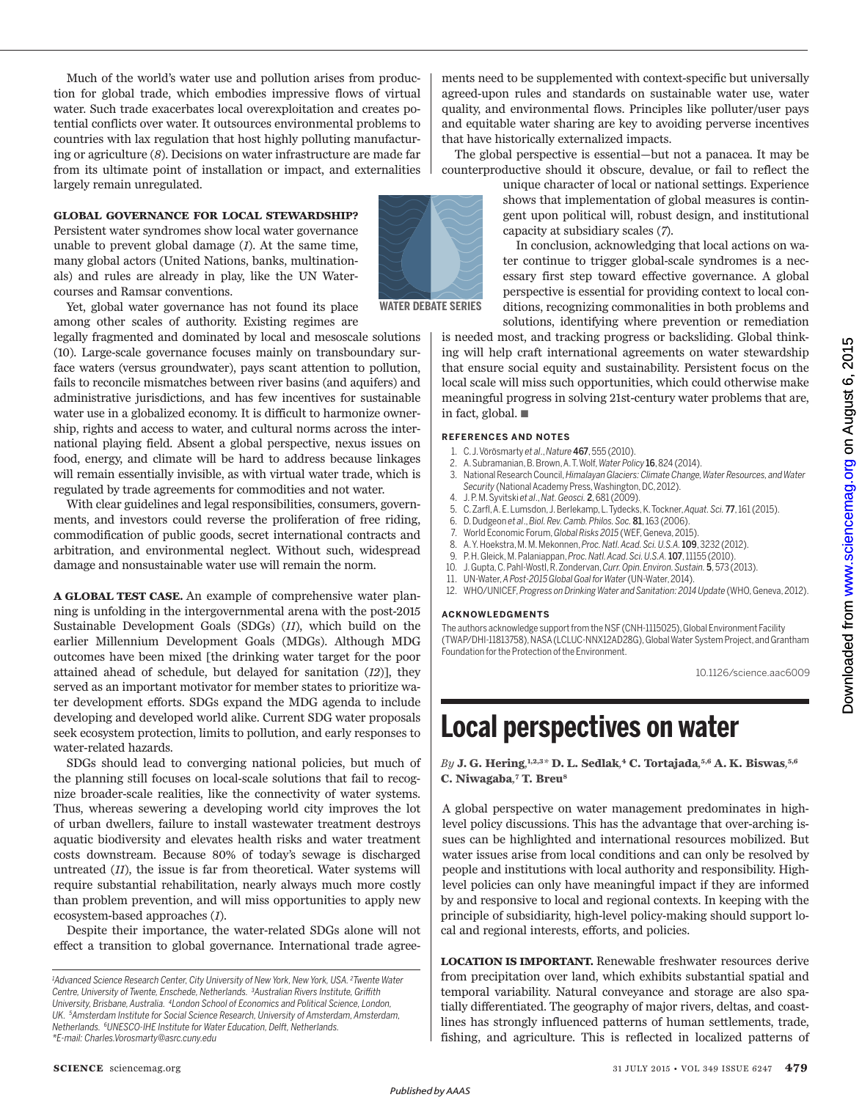Much of the world's water use and pollution arises from production for global trade, which embodies impressive flows of virtual water. Such trade exacerbates local overexploitation and creates potential conflicts over water. It outsources environmental problems to countries with lax regulation that host highly polluting manufacturing or agriculture (*8*). Decisions on water infrastructure are made far from its ultimate point of installation or impact, and externalities largely remain unregulated.

#### **GLOBAL GOVERNANCE FOR LOCAL STEWARDSHIP?**

Persistent water syndromes show local water governance unable to prevent global damage (*1*). At the same time, many global actors (United Nations, banks, multinationals) and rules are already in play, like the UN Watercourses and Ramsar conventions.



Yet, global water governance has not found its place among other scales of authority. Existing regimes are

legally fragmented and dominated by local and mesoscale solutions (10). Large-scale governance focuses mainly on transboundary surface waters (versus groundwater), pays scant attention to pollution, fails to reconcile mismatches between river basins (and aquifers) and administrative jurisdictions, and has few incentives for sustainable water use in a globalized economy. It is difficult to harmonize ownership, rights and access to water, and cultural norms across the international playing field. Absent a global perspective, nexus issues on food, energy, and climate will be hard to address because linkages will remain essentially invisible, as with virtual water trade, which is regulated by trade agreements for commodities and not water.

With clear guidelines and legal responsibilities, consumers, governments, and investors could reverse the proliferation of free riding, commodification of public goods, secret international contracts and arbitration, and environmental neglect. Without such, widespread damage and nonsustainable water use will remain the norm.

**A GLOBAL TEST CASE.** An example of comprehensive water planning is unfolding in the intergovernmental arena with the post-2015 Sustainable Development Goals (SDGs) (*11*), which build on the earlier Millennium Development Goals (MDGs). Although MDG outcomes have been mixed [the drinking water target for the poor attained ahead of schedule, but delayed for sanitation (*12*)], they served as an important motivator for member states to prioritize water development efforts. SDGs expand the MDG agenda to include developing and developed world alike. Current SDG water proposals seek ecosystem protection, limits to pollution, and early responses to water-related hazards.

SDGs should lead to converging national policies, but much of the planning still focuses on local-scale solutions that fail to recognize broader-scale realities, like the connectivity of water systems. Thus, whereas sewering a developing world city improves the lot of urban dwellers, failure to install wastewater treatment destroys aquatic biodiversity and elevates health risks and water treatment costs downstream. Because 80% of today's sewage is discharged untreated (*11*), the issue is far from theoretical. Water systems will require substantial rehabilitation, nearly always much more costly than problem prevention, and will miss opportunities to apply new ecosystem-based approaches (*1*).

Despite their importance, the water-related SDGs alone will not effect a transition to global governance. International trade agreements need to be supplemented with context-specific but universally agreed-upon rules and standards on sustainable water use, water quality, and environmental flows. Principles like polluter/user pays and equitable water sharing are key to avoiding perverse incentives that have historically externalized impacts.

The global perspective is essential—but not a panacea. It may be counterproductive should it obscure, devalue, or fail to reflect the

> unique character of local or national settings. Experience shows that implementation of global measures is contingent upon political will, robust design, and institutional capacity at subsidiary scales (*7*).

> In conclusion, acknowledging that local actions on water continue to trigger global-scale syndromes is a necessary first step toward effective governance. A global perspective is essential for providing context to local conditions, recognizing commonalities in both problems and solutions, identifying where prevention or remediation

is needed most, and tracking progress or backsliding. Global thinking will help craft international agreements on water stewardship that ensure social equity and sustainability. Persistent focus on the local scale will miss such opportunities, which could otherwise make meaningful progress in solving 21st-century water problems that are, in fact, global. ■

#### **REFERENCES AND NOTES**

- 1. C.J. Vörösmarty *et al*., *Nature* 467,555 (2010).
- 2. A. Subramanian,B. Brown,A.T.Wolf,*Water Policy* 16,824 (2014).
- 3. National ResearchCouncil,*Himalayan Glaciers: Climate Change,Water Resources,andWater*  Security (National Academy Press, Washington, DC, 2012).
- 4. J. P. M. Syvitski *et al*., *Nat. Geosci.* 2,681 (2009).
- 5. C. Zarfl, A. E. Lumsdon, J. Berlekamp, L. Tydecks, K. Tockner, *Aquat. Sci. 77*, 161 (2015).<br>6. D. Dudgeon et al. *Biol. Rev. Camb. Philos. Soc.* **81**. 163 (2006).
- 6. D. Dudgeon *et al*., *Biol. Rev. Camb. Philos. Soc.* 81,163 (2006). 7. World Economic Forum,*Global Risks 2015* (WEF, Geneva,2015).
- 
- 8. A.Y.Hoekstra, M. M.Mekonnen,*Proc. Natl. Acad. Sci. U.S.A.*109,3232 (2012).
- 9. P. H. Gleick,M.Palaniappan,*Proc. Natl. Acad. Sci. U.S.A.*107,11155 (2010).
- 10. J.Gupta, C.Pahl-Wostl, R.Zondervan,*Curr. Opin. Environ. Sustain.* 5, 573 (2013).
- 11. UN-Water,*A Post-2015 Global Goal forWater* (UN-Water,2014).
- 12. WHO/UNICEF,*Progress on Drinking Water and Sanitation: 2014 Update* (WHO, Geneva,2012).

#### **ACKNOWLEDGMENTS**

The authors acknowledge support from the NSF (CNH-1115025), Global Environment Facility (TWAP/DHI-11813758), NASA(LCLUC-NNX12AD28G),GlobalWater System Project,and Grantham Foundation for the Protection of the Environment.

10.1126/science.aac6009

## **Local perspectives on water**

*By* **J. G. Hering***,* **1 ,2, 3***\** **D. L. Sedlak***,* **<sup>4</sup> C. Tortajada***,* **5 ,6 A. K. Biswas***,* **5, 6 C. Niwagaba***,* **<sup>7</sup> T. Breu<sup>8</sup>** 

A global perspective on water management predominates in highlevel policy discussions. This has the advantage that over-arching issues can be highlighted and international resources mobilized. But water issues arise from local conditions and can only be resolved by people and institutions with local authority and responsibility. Highlevel policies can only have meaningful impact if they are informed by and responsive to local and regional contexts. In keeping with the principle of subsidiarity, high-level policy-making should support local and regional interests, efforts, and policies.

**LOCATION IS IMPORTANT.** Renewable freshwater resources derive from precipitation over land, which exhibits substantial spatial and temporal variability. Natural conveyance and storage are also spatially differentiated. The geography of major rivers, deltas, and coastlines has strongly influenced patterns of human settlements, trade, fishing, and agriculture. This is reflected in localized patterns of

*<sup>1</sup>Advanced Science Research Center, City University of New York, New York, USA. <sup>2</sup>Twente Water Centre, University of Twente, Enschede, Netherlands. <sup>3</sup>Australian Rivers Institute, Grifth University, Brisbane, Australia. <sup>4</sup>London School of Economics and Political Science, London, UK. <sup>5</sup>Amsterdam Institute for Social Science Research, University of Amsterdam,Amsterdam, Netherlands. <sup>6</sup>UNESCO-IHE Institute for Water Education, Delft, Netherlands. \*E-mail: Charles.Vorosmarty@asrc.cuny.edu*